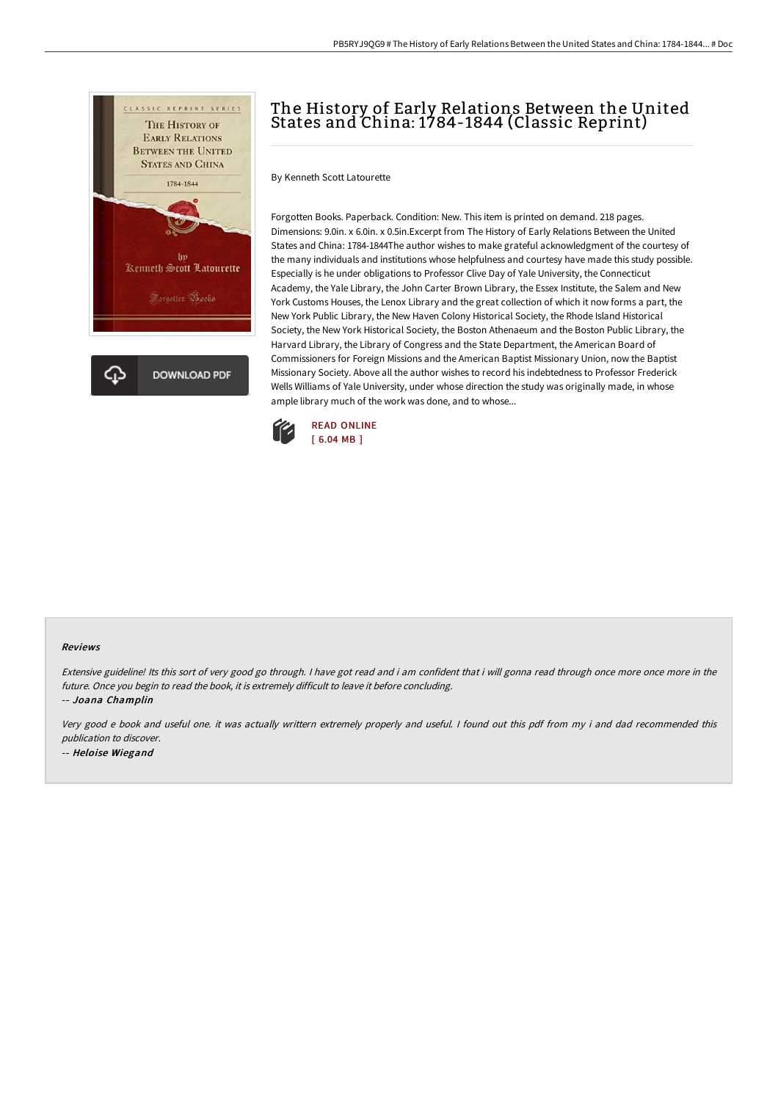

# The History of Early Relations Between the United States and China: 1784-1844 (Classic Reprint)

By Kenneth Scott Latourette

Forgotten Books. Paperback. Condition: New. This item is printed on demand. 218 pages. Dimensions: 9.0in. x 6.0in. x 0.5in.Excerpt from The History of Early Relations Between the United States and China: 1784-1844The author wishes to make grateful acknowledgment of the courtesy of the many individuals and institutions whose helpfulness and courtesy have made this study possible. Especially is he under obligations to Professor Clive Day of Yale University, the Connecticut Academy, the Yale Library, the John Carter Brown Library, the Essex Institute, the Salem and New York Customs Houses, the Lenox Library and the great collection of which it now forms a part, the New York Public Library, the New Haven Colony Historical Society, the Rhode Island Historical Society, the New York Historical Society, the Boston Athenaeum and the Boston Public Library, the Harvard Library, the Library of Congress and the State Department, the American Board of Commissioners for Foreign Missions and the American Baptist Missionary Union, now the Baptist Missionary Society. Above all the author wishes to record his indebtedness to Professor Frederick Wells Williams of Yale University, under whose direction the study was originally made, in whose ample library much of the work was done, and to whose...



#### Reviews

Extensive guideline! Its this sort of very good go through. <sup>I</sup> have got read and i am confident that i will gonna read through once more once more in the future. Once you begin to read the book, it is extremely difficult to leave it before concluding. -- Joana Champlin

Very good <sup>e</sup> book and useful one. it was actually writtern extremely properly and useful. <sup>I</sup> found out this pdf from my i and dad recommended this publication to discover. -- Heloise Wiegand